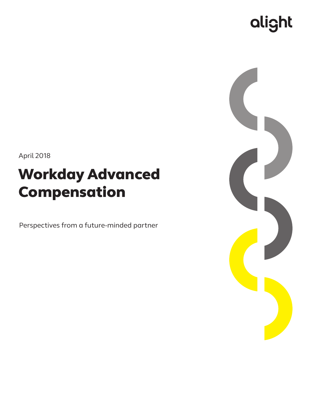# alight

April 2018

## Workday Advanced Compensation

Perspectives from a future-minded partner

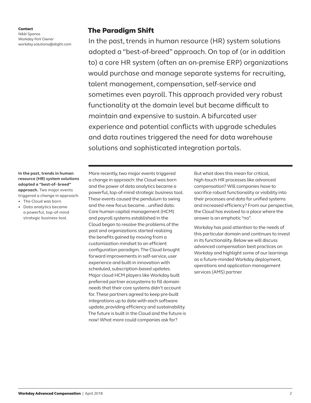Contact Nikki Spanos Workday PoV Owner workday.solutions@alight.com

## The Paradigm Shift

In the past, trends in human resource (HR) system solutions adopted a "best-of-breed" approach. On top of (or in addition to) a core HR system (often an on-premise ERP) organizations would purchase and manage separate systems for recruiting, talent management, compensation, self-service and sometimes even payroll. This approach provided very robust functionality at the domain level but became difficult to maintain and expensive to sustain. A bifurcated user experience and potential conflicts with upgrade schedules and data routines triggered the need for data warehouse solutions and sophisticated integration portals.

**In the past, trends in human resource (HR) system solutions adopted a "best-of- breed" approach.** Two major events triggered a change in approach:

- The Cloud was born.
- Data analytics became a powerful, top-of-mind strategic business tool.

More recently, two major events triggered a change in approach: the Cloud was born and the power of data analytics became a powerful, top-of-mind strategic business tool. These events caused the pendulum to swing and the new focus became...unified data. Core human capital management (HCM) and payroll systems established in the Cloud began to resolve the problems of the past and organizations started realizing the benefits gained by moving from a customization mindset to an efficient configuration paradigm. The Cloud brought forward improvements in self-service, user experience and built-in innovation with scheduled, subscription-based updates. Major cloud HCM players like Workday built preferred partner ecosystems to fill domain needs that their core systems didn't account for. These partners agreed to keep pre-built integrations up to date with each software update, providing efficiency and sustainability. The future is built in the Cloud and the future is now! What more could companies ask for?

But what does this mean for critical, high-touch HR processes like advanced compensation? Will companies have to sacrifice robust functionality or visibility into their processes and data for unified systems and increased efficiency? From our perspective, the Cloud has evolved to a place where the answer is an emphatic "no".

Workday has paid attention to the needs of this particular domain and continues to invest in its functionality. Below we will discuss advanced compensation best practices on Workday and highlight some of our learnings as a future-minded Workday deployment, operations and application management services (AMS) partner.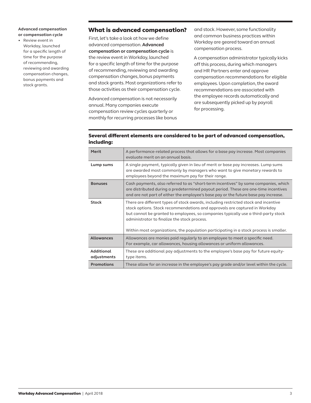#### **Advanced compensation or compensation cycle**

• Review event in Workday, launched for a specific length of time for the purpose of recommending, reviewing and awarding compensation changes, bonus payments and stock grants.

## What is advanced compensation?

First, let's take a look at how we define advanced compensation. **Advanced compensation or compensation cycle** is the review event in Workday, launched for a specific length of time for the purpose of recommending, reviewing and awarding compensation changes, bonus payments and stock grants. Most organizations refer to those activities as their compensation cycle.

Advanced compensation is not necessarily annual. Many companies execute compensation review cycles quarterly or monthly for recurring processes like bonus and stock. However, some functionality and common business practices within Workday are geared toward an annual compensation process.

A compensation administrator typically kicks off this process, during which managers and HR Partners enter and approve compensation recommendations for eligible employees. Upon completion, the award recommendations are associated with the employee records automatically and are subsequently picked up by payroll for processing.

### Several different elements are considered to be part of advanced compensation, including:

| Merit                            | A performance-related process that allows for a base pay increase. Most companies<br>evaluate merit on an annual basis.                                                                                                                                                                                                                                                                           |
|----------------------------------|---------------------------------------------------------------------------------------------------------------------------------------------------------------------------------------------------------------------------------------------------------------------------------------------------------------------------------------------------------------------------------------------------|
| Lump sums                        | A single payment, typically given in lieu of merit or base pay increases. Lump sums<br>are awarded most commonly by managers who want to give monetary rewards to<br>employees beyond the maximum pay for their range.                                                                                                                                                                            |
| <b>Bonuses</b>                   | Cash payments, also referred to as "short-term incentives" by some companies, which<br>are distributed during a predetermined payout period. These are one-time incentives<br>and are not part of either the employee's base pay or the future base pay increase.                                                                                                                                 |
| <b>Stock</b>                     | There are different types of stock awards, including restricted stock and incentive<br>stock options. Stock recommendations and approvals are captured in Workday<br>but cannot be granted to employees, so companies typically use a third-party stock<br>administrator to finalize the stock process.<br>Within most organizations, the population participating in a stock process is smaller. |
| <b>Allowances</b>                | Allowances are monies paid regularly to an employee to meet a specific need.<br>For example, car allowances, housing allowances or uniform allowances.                                                                                                                                                                                                                                            |
| <b>Additional</b><br>adjustments | These are additional pay adjustments to the employee's base pay for future equity-<br>type items.                                                                                                                                                                                                                                                                                                 |
| <b>Promotions</b>                | These allow for an increase in the employee's pay grade and/or level within the cycle.                                                                                                                                                                                                                                                                                                            |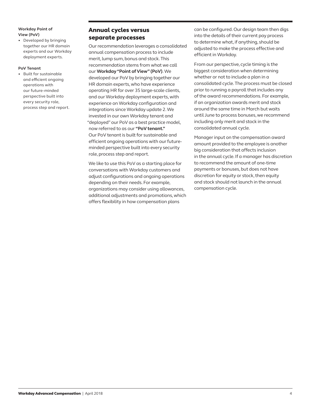#### **Workday Point of View (PoV)**

• Developed by bringing together our HR domain experts and our Workday deployment experts.

#### **PoV Tenant**

• Built for sustainable and efficient ongoing operations with our future-minded perspective built into every security role, process step and report.

## Annual cycles versus separate processes

Our recommendation leverages a consolidated annual compensation process to include merit, lump sum, bonus and stock. This recommendation stems from what we call our **Workday "Point of View" (PoV)**. We developed our PoV by bringing together our HR domain experts, who have experience operating HR for over 35 large-scale clients, and our Workday deployment experts, with experience on Workday configuration and integrations since Workday update 2. We invested in our own Workday tenant and "deployed" our PoV as a best practice model, now referred to as our **"PoV tenant."** Our PoV tenant is built for sustainable and efficient ongoing operations with our futureminded perspective built into every security role, process step and report.

We like to use this PoV as a starting place for conversations with Workday customers and adjust configurations and ongoing operations depending on their needs. For example, organizations may consider using allowances, additional adjustments and promotions, which offers flexibility in how compensation plans

can be configured. Our design team then digs into the details of their current pay process to determine what, if anything, should be adjusted to make the process effective and efficient in Workday.

From our perspective, cycle timing is the biggest consideration when determining whether or not to include a plan in a consolidated cycle. The process must be closed prior to running a payroll that includes any of the award recommendations. For example, if an organization awards merit and stock around the same time in March but waits until June to process bonuses, we recommend including only merit and stock in the consolidated annual cycle.

Manager input on the compensation award amount provided to the employee is another big consideration that affects inclusion in the annual cycle. If a manager has discretion to recommend the amount of one-time payments or bonuses, but does not have discretion for equity or stock, then equity and stock should not launch in the annual compensation cycle.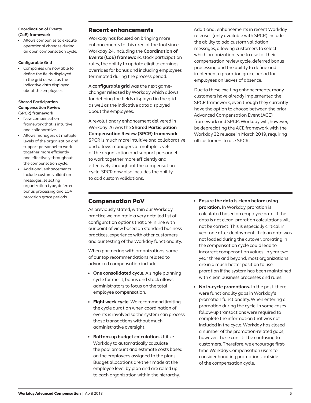#### **Coordination of Events (CoE) framework**

• Allows companies to execute operational changes during an open compensation cycle.

#### **Configurable Grid**

• Companies are now able to define the fields displayed in the grid as well as the indicative data displayed about the employees.

#### **Shared Participation Compensation Review (SPCR) framework**

- New compensation framework that is intuitive and collaborative.
- Allows managers at multiple levels of the organization and support personnel to work together more efficiently and effectively throughout the compensation cycle.
- Additional enhancements include custom validation messages, selecting organization type, deferred bonus processing and LOA proration grace periods.

## Recent enhancements

Workday has focused on bringing more enhancements to this area of the tool since Workday 24, including the **Coordination of Events (CoE) framework**, stock participation rules, the ability to update eligible earnings overrides for bonus and including employees terminated during the process period.

A **configurable grid** was the next gamechanger released by Workday which allows for defining the fields displayed in the grid as well as the indicative data displayed about the employees.

A revolutionary enhancement delivered in Workday 26 was the **Shared Participation Compensation Review (SPCR) framework**. SPCR is much more intuitive and collaborative and allows managers at multiple levels of the organization and support personnel to work together more efficiently and effectively throughout the compensation cycle. SPCR now also includes the ability to add custom validations.

Additional enhancements in recent Workday releases (only available with SPCR) include the ability to add custom validation messages, allowing customers to select which organization type to use for their compensation review cycle, deferred bonus processing and the ability to define and implement a proration grace period for employees on leaves of absence.

Due to these exciting enhancements, many customers have already implemented the SPCR framework, even though they currently have the option to choose between the prior Advanced Compensation Event (ACE) framework and SPCR. Workday will, however, be depreciating the ACE framework with the Workday 32 release in March 2019, requiring all customers to use SPCR.

## Compensation PoV

As previously stated, within our Workday practice we maintain a very detailed list of configuration options that are in line with our point of view based on standard business practices, experience with other customers and our testing of the Workday functionality.

When partnering with organizations, some of our top recommendations related to advanced compensation include:

- **One consolidated cycle.** A single planning cycle for merit, bonus and stock allows administrators to focus on the total employee compensation.
- **Eight week cycle.** We recommend limiting the cycle duration when coordination of events is involved so the system can process those transactions without much administrative oversight.
- **Bottom-up budget calculation.** Utilize Workday to automatically calculate the pool amount and estimate costs based on the employees assigned to the plans. Budget allocations are then made at the employee level by plan and are rolled up to each organization within the hierarchy.
- **Ensure the data is clean before using proration.** In Workday, proration is calculated based on employee data. If the data is not clean, proration calculations will not be correct. This is especially critical in year one after deployment. If clean data was not loaded during the cutover, prorating in the compensation cycle could lead to incorrect compensation values. In year two, year three and beyond, most organizations are in a much better position to use proration if the system has been maintained with clean business processes and rules.
- **No in-cycle promotions.** In the past, there were functionality gaps in Workday's promotion functionality. When entering a promotion during the cycle, in some cases follow-up transactions were required to complete the information that was not included in the cycle. Workday has closed a number of the promotion-related gaps; however, these can still be confusing to customers. Therefore, we encourage firsttime Workday Compensation users to consider handling promotions outside of the compensation cycle.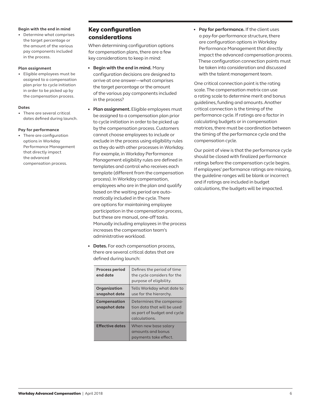#### **Begin with the end in mind**

• Determine what comprises the target percentage or the amount of the various pay components included in the process.

#### **Plan assignment**

• Eligible employees must be assigned to a compensation plan prior to cycle initiation in order to be picked up by the compensation process.

#### **Dates**

There are several critical dates defined during launch.

#### **Pay for performance**

• There are configuration options in Workday Performance Management that directly impact the advanced compensation process.

## Key configuration considerations

When determining configuration options for compensation plans, there are a few key considerations to keep in mind:

- **Begin with the end in mind.** Many configuration decisions are designed to arrive at one answer—what comprises the target percentage or the amount of the various pay components included in the process?
- **Plan assignment.** Eligible employees must be assigned to a compensation plan prior to cycle initiation in order to be picked up by the compensation process. Customers cannot choose employees to include or exclude in the process using eligibility rules as they do with other processes in Workday. For example, in Workday Performance Management eligibility rules are defined in templates and control who receives each template (different from the compensation process). In Workday compensation, employees who are in the plan and qualify based on the waiting period are automatically included in the cycle. There are options for maintaining employee participation in the compensation process, but these are manual, one-off tasks. Manually including employees in the process increases the compensation team's administrative workload.
- **Dates.** For each compensation process, there are several critical dates that are defined during launch:

| <b>Process period</b><br>end date | Defines the period of time<br>the cycle considers for the<br>purpose of eligibility.                    |
|-----------------------------------|---------------------------------------------------------------------------------------------------------|
| Organization<br>snapshot date     | Tells Workday what date to<br>use for the hierarchy.                                                    |
| Compensation<br>snapshot date     | Determines the compensa-<br>tion data that will be used<br>as part of budget and cycle<br>calculations. |
| <b>Effective dates</b>            | When new base salary<br>amounts and bonus<br>payments take effect.                                      |

• **Pay for performance.** If the client uses a pay-for-performance structure, there are configuration options in Workday Performance Management that directly impact the advanced compensation process. These configuration connection points must be taken into consideration and discussed with the talent management team.

One critical connection point is the rating scale. The compensation matrix can use a rating scale to determine merit and bonus guidelines, funding and amounts. Another critical connection is the timing of the performance cycle. If ratings are a factor in calculating budgets or in compensation matrices, there must be coordination between the timing of the performance cycle and the compensation cycle.

Our point of view is that the performance cycle should be closed with finalized performance ratings before the compensation cycle begins. If employees' performance ratings are missing, the guideline ranges will be blank or incorrect and if ratings are included in budget calculations, the budgets will be impacted.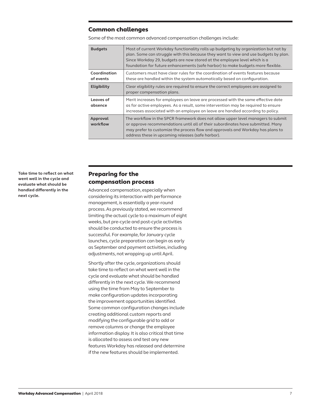## Common challenges

Some of the most common advanced compensation challenges include:

| <b>Budgets</b>            | Most of current Workday functionality rolls up budgeting by organization but not by<br>plan. Some can struggle with this because they want to view and use budgets by plan.<br>Since Workday 29, budgets are now stored at the employee level which is a<br>foundation for future enhancements (safe harbor) to make budgets more flexible. |
|---------------------------|---------------------------------------------------------------------------------------------------------------------------------------------------------------------------------------------------------------------------------------------------------------------------------------------------------------------------------------------|
| Coordination<br>of events | Customers must have clear rules for the coordination of events features because<br>these are handled within the system automatically based on configuration.                                                                                                                                                                                |
| Eligibility               | Clear eligibility rules are required to ensure the correct employees are assigned to<br>proper compensation plans.                                                                                                                                                                                                                          |
| Leaves of<br>absence      | Merit increases for employees on leave are processed with the same effective date<br>as for active employees. As a result, some intervention may be required to ensure<br>increases associated with an employee on leave are handled according to policy.                                                                                   |
| Approval<br>workflow      | The workflow in the SPCR framework does not allow upper level managers to submit<br>or approve recommendations until all of their subordinates have submitted. Many<br>may prefer to customize the process flow and approvals and Workday has plans to<br>address these in upcoming releases (safe harbor).                                 |

**Take time to reflect on what went well in the cycle and evaluate what should be handled differently in the next cycle.**

## Preparing for the compensation process

Advanced compensation, especially when considering its interaction with performance management, is essentially a year-round process. As previously stated, we recommend limiting the actual cycle to a maximum of eight weeks, but pre-cycle and post-cycle activities should be conducted to ensure the process is successful. For example, for January cycle launches, cycle preparation can begin as early as September and payment activities, including adjustments, not wrapping up until April.

Shortly after the cycle, organizations should take time to reflect on what went well in the cycle and evaluate what should be handled differently in the next cycle. We recommend using the time from May to September to make configuration updates incorporating the improvement opportunities identified. Some common configuration changes include creating additional custom reports and modifying the configurable grid to add or remove columns or change the employee information display. It is also critical that time is allocated to assess and test any new features Workday has released and determine if the new features should be implemented.